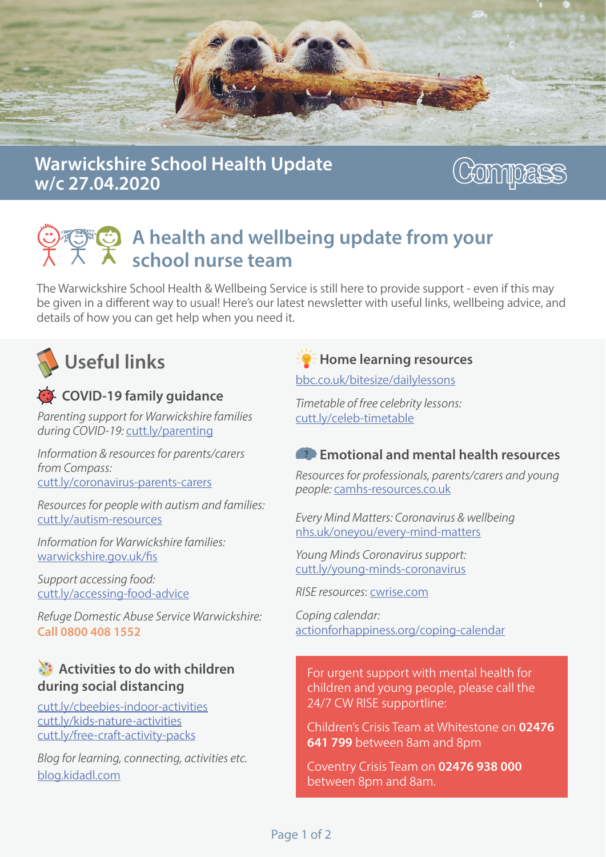

### Warwickshire School Health Update w/c 27.04.2020

# **ZONULLE**

## A health and wellbeing update from your school nurse team

The Warwickshire School Health & Wellbeing Service is still here to provide support - even if this may be given in a different way to usual! Here's our latest newsletter with useful links, wellbeing advice, and details of how you can get help when you need it.



## C COVID-19 family guidance

*Parenting support for Warwickshire families during COVID-19: cutt.ly/parenting* 

*Information & resources for parents/carers from Compass:* cutt.ly/coronavirus-parents-carers

*Resources for people with autism and families:* cutt.ly/autism-resources

*Information for Warwickshire families:* war wickshire.gov.uk/fis

Support accessing food: cutt.ly/accessing-food-advice

**Refuge Domestic Abuse Service Warwickshire:** Call 0800 408 1552

#### $\mathbf{A}$ : Activities to do with children during social distancing

cutt.ly/cbeebies-indoor-activities cutt.ly/kids-nature-activities cutt.ly/free-craft-activity-packs

*Blog for learning, connecting, activities etc.* blog.kidadl.com

 $\overline{\mathbf{F}}$  Home learning resources

bbc.co.uk/bitesize/dailylessons

*Timetable of free celebrity lessons:* cutt.ly/celeb-timetable

#### $\bullet$  Emotional and mental health resources

*Resources for professionals, parents/carers and young* people: camhs-resources.co.uk

*Every Mind Matters: Coronavirus & wellbeing* nhs.uk/oneyou/every-mind-matters

*Young Minds Coronavirus support:* cutt.ly/young-minds-coronavirus

*RISE resources: cwrise.com* 

*Coping calendar:* action for happiness.or g/coping-calendar

For urgent support with mental health for children and young people, please call the 24/7 CW RISE supportline:

Children's Crisis Team at Whitestone on 02476 **641 799** between 8 am and 8 pm

Coventry Crisis Team on 02476 938 000 between 8pm and 8am.